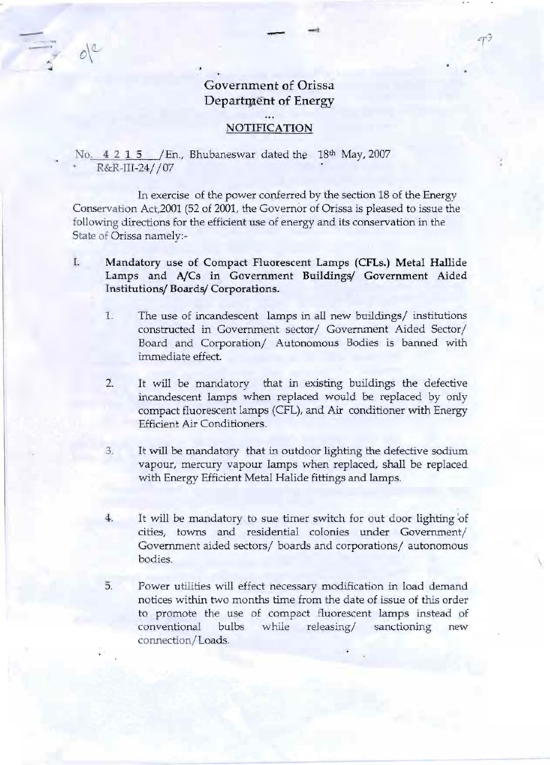## Government of Orissa Department of Energy

- ~

-. -.

*C(7-*

## NOTIFICATION

No. 4 2 1 5 / En., Bhubaneswar dated the 18th May, 2007 R&R-III-24//07

 $-$ 

- *f*

~

 $o^{\circ}$ 

In exercise of the power conferred by the section 18 of the Energy Conservation Act,2001 (52 of 2001, the Governor of Orissa is pleased to issue the following directions for the efficient use of energy and its conservation in the State of Orissa namely:-

I. Mandatory use of Compact Fluorescent Lamps (CFLs.) Metal Hallide Lamps and AjCs in Government Buildings/ Government Aided Institutions/ Boards/ Corporations.

- 1. The use of incandescent lamps in all new buildings/ institutions constructed in Government sector/Government Aided Sector/ Board and Corporation/ Autonomous Bodies is banned with immediate effect.
- 2. It will be mandatory that in existing buildings the defective incandescent lamps when replaced would be replaced by only compact fluorescent lamps (CFL), and Air conditioner with Energy Efficient Air Conditioners.
- 3. It will be mandatory that in outdoor lighting the defective sodium vapour, mercury vapour lamps when replaced, shall be replaced with Energy Efficient Metal Halide fittings and lamps.
- 4. It will be mandatory to sue timer switch for out door lighting of cities, towns and residential colonies under Government/ Government aided sectors/boards and corporations/ autonomous  $\blacksquare$ bodies.  $\blacksquare$
- 5. Power utilities will effect necessary modification in load demand notices within two months time from the date of issue of this order to promote the use of compact fluorescent lamps instead of conventional bulbs while releasing/ sanctioning new connection/Loads.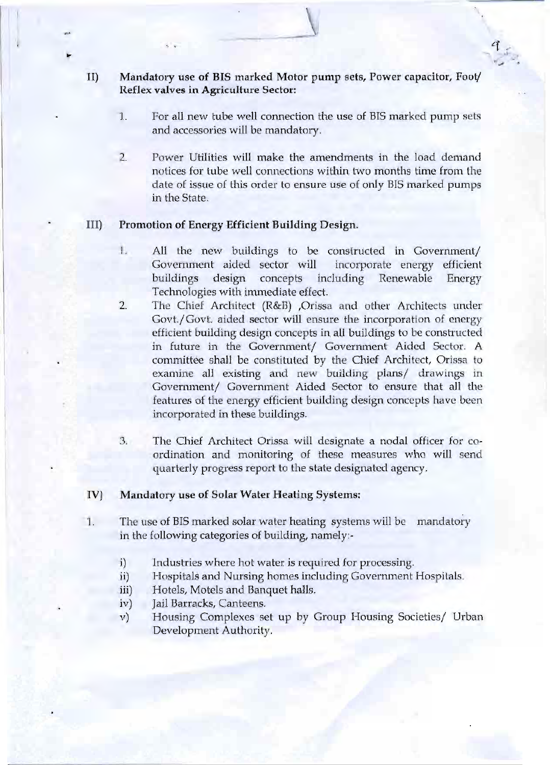- II) Mandatory use of BIS marked Motor pump sets, Power capacitor, Foot/ Reflex valves in Agriculture Sector:
	- 1; For all new tube well connection the use of BIS marked pump sets and accessories will be mandatory.

 $\mathbf{V}$  , and  $\mathbf{V}$ 

.., "., *oj >J'"* ,~'.

, , Cf",

2. Power Utilities will make the amendments in the load demand notices for tube well connections within two months time from the date of issue of this order to ensure use of only BIS marked pumps in the State.

## III) Promotion of Energy Efficient Building Design.

<sup>I</sup> I

f

.,.

-.

- 1. All the new buildings to be constructed in Government/ Government aided sector will incorporate energy efficient buildings design concepts' including Renewable Energy Technologies with immediate effect.
- The Chief Architect (R&B) ,Orissa and other Architects under Govt./Govt. aided sector will ensure the incorporation of energy efficient building design concepts in all buildings to be constructed in future in the Government/ Government Aided Sector. A committee shall be constituted by the Chief Architect, Orissa to examine all existing and new building plans/ drawings in Government/ Government Aided Sector to ensure that all the features of the energy efficient building design concepts have been incorporated in these buildings. 2.
- 3. The Chief Architect Orissa will designate a nodal officer for coordination and monitoring of these measures who will send quarterly progress report to the state designated agency.

## IV) Mandatory use of Solar Water Heating Systems:

- 1. The use of BIS marked solar water heating systems will be mandatory in the following categories of building, namely:
	- i) Industries where hot water is required for processing.
	- ii) Hospitals and Nursing homes including Government Hospitals.
	- iii) Hotels, Motels and Banquet halls.
	- iv) Jail Barracks, Canteens.
	- v) Housing Complexes set up by Group Housing Societies/ Urban Development Authority.